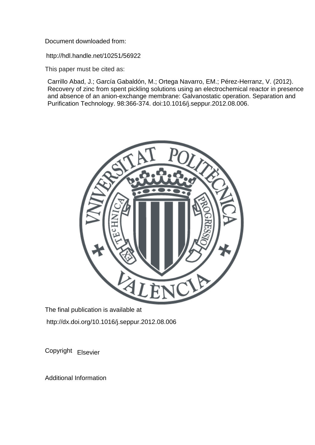Document downloaded from:

http://hdl.handle.net/10251/56922

This paper must be cited as:

Carrillo Abad, J.; García Gabaldón, M.; Ortega Navarro, EM.; Pérez-Herranz, V. (2012). Recovery of zinc from spent pickling solutions using an electrochemical reactor in presence and absence of an anion-exchange membrane: Galvanostatic operation. Separation and Purification Technology. 98:366-374. doi:10.1016/j.seppur.2012.08.006.



The final publication is available at http://dx.doi.org/10.1016/j.seppur.2012.08.006

Copyright Elsevier

Additional Information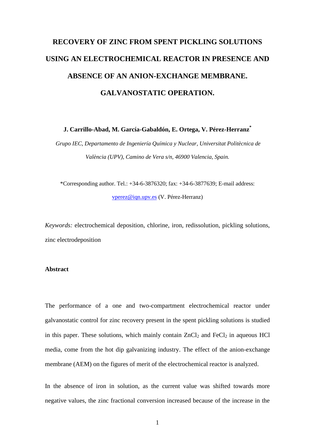# **RECOVERY OF ZINC FROM SPENT PICKLING SOLUTIONS USING AN ELECTROCHEMICAL REACTOR IN PRESENCE AND ABSENCE OF AN ANION-EXCHANGE MEMBRANE. GALVANOSTATIC OPERATION.**

**J. Carrillo-Abad, M. García-Gabaldón, E. Ortega, V. Pérez-Herranz\***

*Grupo IEC, Departamento de Ingeniería Química y Nuclear, Universitat Politècnica de València (UPV), Camino de Vera s/n, 46900 Valencia, Spain.* 

\*Corresponding author. Tel.: +34-6-3876320; fax: +34-6-3877639; E-mail address: [vperez@iqn.upv.es](mailto:vperez@iqn.upv.es) (V. Pérez-Herranz)

*Keywords:* electrochemical deposition, chlorine, iron, redissolution, pickling solutions, zinc electrodeposition

## **Abstract**

The performance of a one and two-compartment electrochemical reactor under galvanostatic control for zinc recovery present in the spent pickling solutions is studied in this paper. These solutions, which mainly contain  $ZnCl_2$  and  $FeCl_2$  in aqueous HCl media, come from the hot dip galvanizing industry. The effect of the anion-exchange membrane (AEM) on the figures of merit of the electrochemical reactor is analyzed.

In the absence of iron in solution, as the current value was shifted towards more negative values, the zinc fractional conversion increased because of the increase in the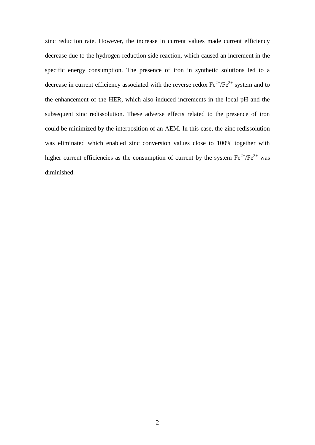zinc reduction rate. However, the increase in current values made current efficiency decrease due to the hydrogen-reduction side reaction, which caused an increment in the specific energy consumption. The presence of iron in synthetic solutions led to a decrease in current efficiency associated with the reverse redox  $Fe^{2+}/Fe^{3+}$  system and to the enhancement of the HER, which also induced increments in the local pH and the subsequent zinc redissolution. These adverse effects related to the presence of iron could be minimized by the interposition of an AEM. In this case, the zinc redissolution was eliminated which enabled zinc conversion values close to 100% together with higher current efficiencies as the consumption of current by the system  $Fe^{2+}/Fe^{3+}$  was diminished.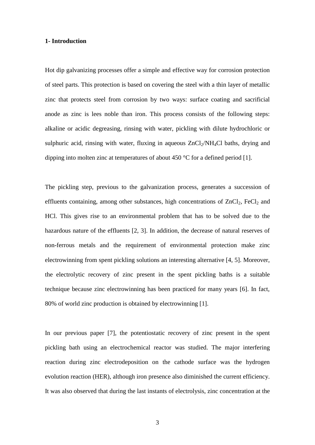#### **1- Introduction**

Hot dip galvanizing processes offer a simple and effective way for corrosion protection of steel parts. This protection is based on covering the steel with a thin layer of metallic zinc that protects steel from corrosion by two ways: surface coating and sacrificial anode as zinc is lees noble than iron. This process consists of the following steps: alkaline or acidic degreasing, rinsing with water, pickling with dilute hydrochloric or sulphuric acid, rinsing with water, fluxing in aqueous  $ZnCl<sub>2</sub>/NH<sub>4</sub>Cl$  baths, drying and dipping into molten zinc at temperatures of about 450 °C for a defined period [1].

The pickling step, previous to the galvanization process, generates a succession of effluents containing, among other substances, high concentrations of  $ZnCl_2$ , FeCl<sub>2</sub> and HCl. This gives rise to an environmental problem that has to be solved due to the hazardous nature of the effluents [2, 3]. In addition, the decrease of natural reserves of non-ferrous metals and the requirement of environmental protection make zinc electrowinning from spent pickling solutions an interesting alternative [4, 5]. Moreover, the electrolytic recovery of zinc present in the spent pickling baths is a suitable technique because zinc electrowinning has been practiced for many years [6]. In fact, 80% of world zinc production is obtained by electrowinning [1].

In our previous paper [7], the potentiostatic recovery of zinc present in the spent pickling bath using an electrochemical reactor was studied. The major interfering reaction during zinc electrodeposition on the cathode surface was the hydrogen evolution reaction (HER), although iron presence also diminished the current efficiency. It was also observed that during the last instants of electrolysis, zinc concentration at the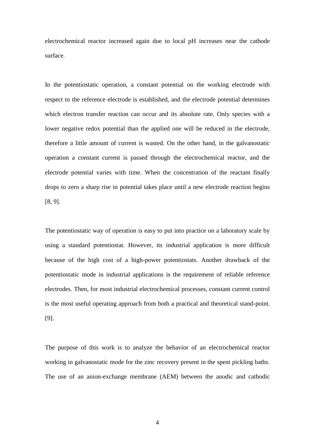electrochemical reactor increased again due to local pH increases near the cathode surface.

In the potentiostatic operation, a constant potential on the working electrode with respect to the reference electrode is established, and the electrode potential determines which electron transfer reaction can occur and its absolute rate. Only species with a lower negative redox potential than the applied one will be reduced in the electrode, therefore a little amount of current is wasted. On the other hand, in the galvanostatic operation a constant current is passed through the electrochemical reactor, and the electrode potential varies with time. When the concentration of the reactant finally drops to zero a sharp rise in potential takes place until a new electrode reaction begins [8, 9].

The potentiostatic way of operation is easy to put into practice on a laboratory scale by using a standard potentiostat. However, its industrial application is more difficult because of the high cost of a high-power potentiostats. Another drawback of the potentiostatic mode in industrial applications is the requirement of reliable reference electrodes. Then, for most industrial electrochemical processes, constant current control is the most useful operating approach from both a practical and theoretical stand-point. [9].

The purpose of this work is to analyze the behavior of an electrochemical reactor working in galvanostatic mode for the zinc recovery present in the spent pickling baths. The use of an anion-exchange membrane (AEM) between the anodic and cathodic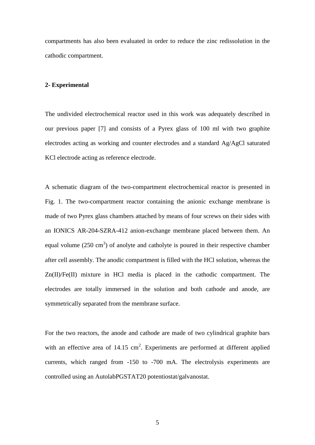compartments has also been evaluated in order to reduce the zinc redissolution in the cathodic compartment.

## **2- Experimental**

The undivided electrochemical reactor used in this work was adequately described in our previous paper [7] and consists of a Pyrex glass of 100 ml with two graphite electrodes acting as working and counter electrodes and a standard Ag/AgCl saturated KCl electrode acting as reference electrode.

A schematic diagram of the two-compartment electrochemical reactor is presented in Fig. 1. The two-compartment reactor containing the anionic exchange membrane is made of two Pyrex glass chambers attached by means of four screws on their sides with an IONICS AR-204-SZRA-412 anion-exchange membrane placed between them. An equal volume  $(250 \text{ cm}^3)$  of anolyte and catholyte is poured in their respective chamber after cell assembly. The anodic compartment is filled with the HCl solution, whereas the Zn(II)/Fe(II) mixture in HCl media is placed in the cathodic compartment. The electrodes are totally immersed in the solution and both cathode and anode, are symmetrically separated from the membrane surface.

For the two reactors, the anode and cathode are made of two cylindrical graphite bars with an effective area of  $14.15 \text{ cm}^2$ . Experiments are performed at different applied currents, which ranged from -150 to -700 mA. The electrolysis experiments are controlled using an AutolabPGSTAT20 potentiostat/galvanostat.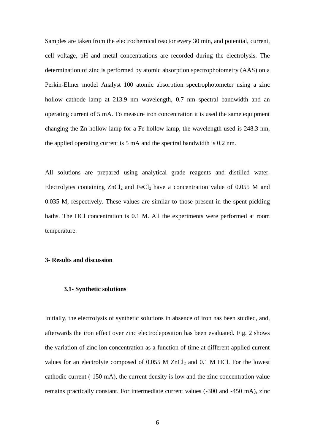Samples are taken from the electrochemical reactor every 30 min, and potential, current, cell voltage, pH and metal concentrations are recorded during the electrolysis. The determination of zinc is performed by atomic absorption spectrophotometry (AAS) on a Perkin-Elmer model Analyst 100 atomic absorption spectrophotometer using a zinc hollow cathode lamp at 213.9 nm wavelength, 0.7 nm spectral bandwidth and an operating current of 5 mA. To measure iron concentration it is used the same equipment changing the Zn hollow lamp for a Fe hollow lamp, the wavelength used is 248.3 nm, the applied operating current is 5 mA and the spectral bandwidth is 0.2 nm.

All solutions are prepared using analytical grade reagents and distilled water. Electrolytes containing  $ZnCl<sub>2</sub>$  and FeCl<sub>2</sub> have a concentration value of 0.055 M and 0.035 M, respectively. These values are similar to those present in the spent pickling baths. The HCl concentration is 0.1 M. All the experiments were performed at room temperature.

#### **3- Results and discussion**

#### **3.1- Synthetic solutions**

Initially, the electrolysis of synthetic solutions in absence of iron has been studied, and, afterwards the iron effect over zinc electrodeposition has been evaluated. Fig. 2 shows the variation of zinc ion concentration as a function of time at different applied current values for an electrolyte composed of  $0.055$  M ZnCl<sub>2</sub> and  $0.1$  M HCl. For the lowest cathodic current (-150 mA), the current density is low and the zinc concentration value remains practically constant. For intermediate current values (-300 and -450 mA), zinc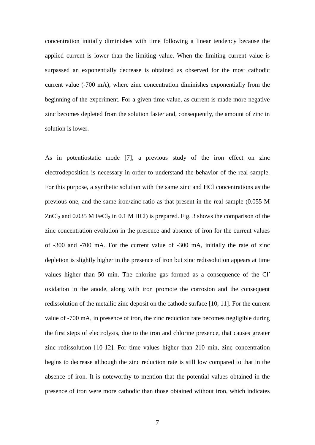concentration initially diminishes with time following a linear tendency because the applied current is lower than the limiting value. When the limiting current value is surpassed an exponentially decrease is obtained as observed for the most cathodic current value (-700 mA), where zinc concentration diminishes exponentially from the beginning of the experiment. For a given time value, as current is made more negative zinc becomes depleted from the solution faster and, consequently, the amount of zinc in solution is lower.

As in potentiostatic mode [7], a previous study of the iron effect on zinc electrodeposition is necessary in order to understand the behavior of the real sample. For this purpose, a synthetic solution with the same zinc and HCl concentrations as the previous one, and the same iron/zinc ratio as that present in the real sample (0.055 M  $ZnCl<sub>2</sub>$  and 0.035 M FeCl<sub>2</sub> in 0.1 M HCl) is prepared. Fig. 3 shows the comparison of the zinc concentration evolution in the presence and absence of iron for the current values of -300 and -700 mA. For the current value of -300 mA, initially the rate of zinc depletion is slightly higher in the presence of iron but zinc redissolution appears at time values higher than 50 min. The chlorine gas formed as a consequence of the Cloxidation in the anode, along with iron promote the corrosion and the consequent redissolution of the metallic zinc deposit on the cathode surface [10, 11]. For the current value of -700 mA, in presence of iron, the zinc reduction rate becomes negligible during the first steps of electrolysis, due to the iron and chlorine presence, that causes greater zinc redissolution [10-12]. For time values higher than 210 min, zinc concentration begins to decrease although the zinc reduction rate is still low compared to that in the absence of iron. It is noteworthy to mention that the potential values obtained in the presence of iron were more cathodic than those obtained without iron, which indicates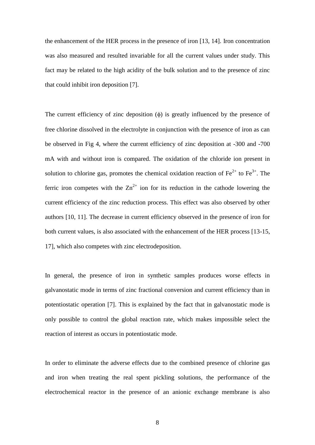the enhancement of the HER process in the presence of iron [13, 14]. Iron concentration was also measured and resulted invariable for all the current values under study. This fact may be related to the high acidity of the bulk solution and to the presence of zinc that could inhibit iron deposition [7].

The current efficiency of zinc deposition  $(\phi)$  is greatly influenced by the presence of free chlorine dissolved in the electrolyte in conjunction with the presence of iron as can be observed in Fig 4, where the current efficiency of zinc deposition at -300 and -700 mA with and without iron is compared. The oxidation of the chloride ion present in solution to chlorine gas, promotes the chemical oxidation reaction of  $Fe^{2+}$  to  $Fe^{3+}$ . The ferric iron competes with the  $\text{Zn}^{2+}$  ion for its reduction in the cathode lowering the current efficiency of the zinc reduction process. This effect was also observed by other authors [10, 11]. The decrease in current efficiency observed in the presence of iron for both current values, is also associated with the enhancement of the HER process [13-15, 17], which also competes with zinc electrodeposition.

In general, the presence of iron in synthetic samples produces worse effects in galvanostatic mode in terms of zinc fractional conversion and current efficiency than in potentiostatic operation [7]. This is explained by the fact that in galvanostatic mode is only possible to control the global reaction rate, which makes impossible select the reaction of interest as occurs in potentiostatic mode.

In order to eliminate the adverse effects due to the combined presence of chlorine gas and iron when treating the real spent pickling solutions, the performance of the electrochemical reactor in the presence of an anionic exchange membrane is also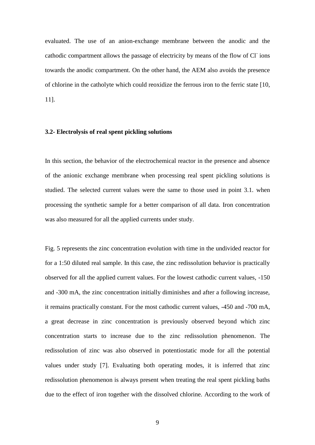evaluated. The use of an anion-exchange membrane between the anodic and the cathodic compartment allows the passage of electricity by means of the flow of Cl<sup>-</sup>ions towards the anodic compartment. On the other hand, the AEM also avoids the presence of chlorine in the catholyte which could reoxidize the ferrous iron to the ferric state [10, 11].

#### **3.2- Electrolysis of real spent pickling solutions**

In this section, the behavior of the electrochemical reactor in the presence and absence of the anionic exchange membrane when processing real spent pickling solutions is studied. The selected current values were the same to those used in point 3.1. when processing the synthetic sample for a better comparison of all data. Iron concentration was also measured for all the applied currents under study.

Fig. 5 represents the zinc concentration evolution with time in the undivided reactor for for a 1:50 diluted real sample. In this case, the zinc redissolution behavior is practically observed for all the applied current values. For the lowest cathodic current values, -150 and -300 mA, the zinc concentration initially diminishes and after a following increase, it remains practically constant. For the most cathodic current values, -450 and -700 mA, a great decrease in zinc concentration is previously observed beyond which zinc concentration starts to increase due to the zinc redissolution phenomenon. The redissolution of zinc was also observed in potentiostatic mode for all the potential values under study [7]. Evaluating both operating modes, it is inferred that zinc redissolution phenomenon is always present when treating the real spent pickling baths due to the effect of iron together with the dissolved chlorine. According to the work of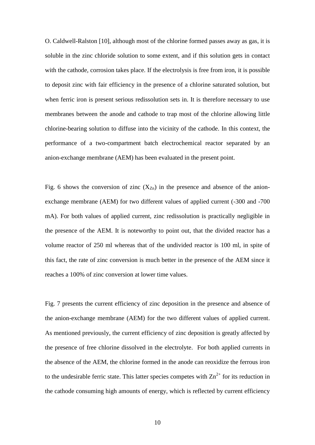O. Caldwell-Ralston [10], although most of the chlorine formed passes away as gas, it is soluble in the zinc chloride solution to some extent, and if this solution gets in contact with the cathode, corrosion takes place. If the electrolysis is free from iron, it is possible to deposit zinc with fair efficiency in the presence of a chlorine saturated solution, but when ferric iron is present serious redissolution sets in. It is therefore necessary to use membranes between the anode and cathode to trap most of the chlorine allowing little chlorine-bearing solution to diffuse into the vicinity of the cathode. In this context, the performance of a two-compartment batch electrochemical reactor separated by an anion-exchange membrane (AEM) has been evaluated in the present point.

Fig. 6 shows the conversion of zinc  $(X_{Zn})$  in the presence and absence of the anionexchange membrane (AEM) for two different values of applied current (-300 and -700 mA). For both values of applied current, zinc redissolution is practically negligible in the presence of the AEM. It is noteworthy to point out, that the divided reactor has a volume reactor of 250 ml whereas that of the undivided reactor is 100 ml, in spite of this fact, the rate of zinc conversion is much better in the presence of the AEM since it reaches a 100% of zinc conversion at lower time values.

Fig. 7 presents the current efficiency of zinc deposition in the presence and absence of the anion-exchange membrane (AEM) for the two different values of applied current. As mentioned previously, the current efficiency of zinc deposition is greatly affected by the presence of free chlorine dissolved in the electrolyte. For both applied currents in the absence of the AEM, the chlorine formed in the anode can reoxidize the ferrous iron to the undesirable ferric state. This latter species competes with  $\text{Zn}^{2+}$  for its reduction in the cathode consuming high amounts of energy, which is reflected by current efficiency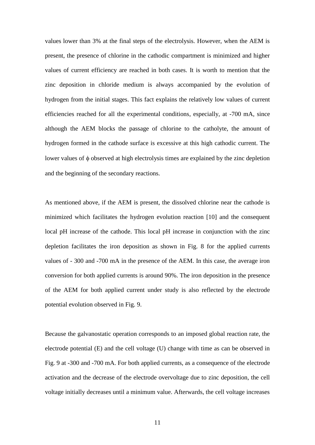values lower than 3% at the final steps of the electrolysis. However, when the AEM is present, the presence of chlorine in the cathodic compartment is minimized and higher values of current efficiency are reached in both cases. It is worth to mention that the zinc deposition in chloride medium is always accompanied by the evolution of hydrogen from the initial stages. This fact explains the relatively low values of current efficiencies reached for all the experimental conditions, especially, at -700 mA, since although the AEM blocks the passage of chlorine to the catholyte, the amount of hydrogen formed in the cathode surface is excessive at this high cathodic current. The lower values of  $\phi$  observed at high electrolysis times are explained by the zinc depletion and the beginning of the secondary reactions.

As mentioned above, if the AEM is present, the dissolved chlorine near the cathode is minimized which facilitates the hydrogen evolution reaction [10] and the consequent local pH increase of the cathode. This local pH increase in conjunction with the zinc depletion facilitates the iron deposition as shown in Fig. 8 for the applied currents values of - 300 and -700 mA in the presence of the AEM. In this case, the average iron conversion for both applied currents is around 90%. The iron deposition in the presence of the AEM for both applied current under study is also reflected by the electrode potential evolution observed in Fig. 9.

Because the galvanostatic operation corresponds to an imposed global reaction rate, the electrode potential (E) and the cell voltage (U) change with time as can be observed in Fig. 9 at -300 and -700 mA. For both applied currents, as a consequence of the electrode activation and the decrease of the electrode overvoltage due to zinc deposition, the cell voltage initially decreases until a minimum value. Afterwards, the cell voltage increases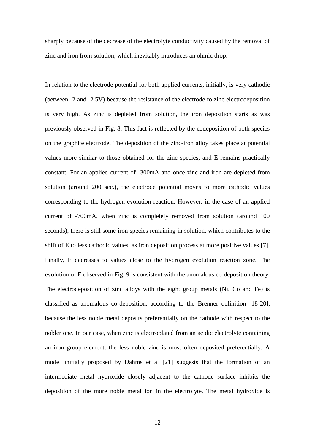sharply because of the decrease of the electrolyte conductivity caused by the removal of zinc and iron from solution, which inevitably introduces an ohmic drop.

In relation to the electrode potential for both applied currents, initially, is very cathodic (between -2 and -2.5V) because the resistance of the electrode to zinc electrodeposition is very high. As zinc is depleted from solution, the iron deposition starts as was previously observed in Fig. 8. This fact is reflected by the codeposition of both species on the graphite electrode. The deposition of the zinc-iron alloy takes place at potential values more similar to those obtained for the zinc species, and E remains practically constant. For an applied current of -300mA and once zinc and iron are depleted from solution (around 200 sec.), the electrode potential moves to more cathodic values corresponding to the hydrogen evolution reaction. However, in the case of an applied current of -700mA, when zinc is completely removed from solution (around 100 seconds), there is still some iron species remaining in solution, which contributes to the shift of E to less cathodic values, as iron deposition process at more positive values [7]. Finally, E decreases to values close to the hydrogen evolution reaction zone. The evolution of E observed in Fig. 9 is consistent with the anomalous co-deposition theory. The electrodeposition of zinc alloys with the eight group metals (Ni, Co and Fe) is classified as anomalous co-deposition, according to the Brenner definition [18-20], because the less noble metal deposits preferentially on the cathode with respect to the nobler one. In our case, when zinc is electroplated from an acidic electrolyte containing an iron group element, the less noble zinc is most often deposited preferentially. A model initially proposed by Dahms et al [21] suggests that the formation of an intermediate metal hydroxide closely adjacent to the cathode surface inhibits the deposition of the more noble metal ion in the electrolyte. The metal hydroxide is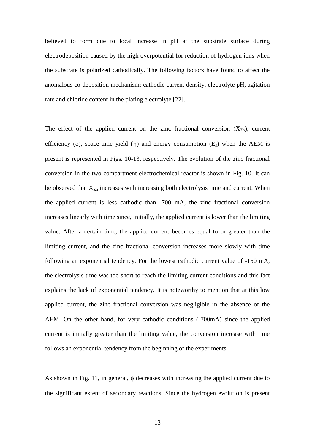believed to form due to local increase in pH at the substrate surface during electrodeposition caused by the high overpotential for reduction of hydrogen ions when the substrate is polarized cathodically. The following factors have found to affect the anomalous co-deposition mechanism: cathodic current density, electrolyte pH, agitation rate and chloride content in the plating electrolyte [22].

The effect of the applied current on the zinc fractional conversion  $(X_{Zn})$ , current efficiency ( $\phi$ ), space-time yield ( $\eta$ ) and energy consumption ( $E_s$ ) when the AEM is present is represented in Figs. 10-13, respectively. The evolution of the zinc fractional conversion in the two-compartment electrochemical reactor is shown in Fig. 10. It can be observed that  $X_{Z_n}$  increases with increasing both electrolysis time and current. When the applied current is less cathodic than -700 mA, the zinc fractional conversion increases linearly with time since, initially, the applied current is lower than the limiting value. After a certain time, the applied current becomes equal to or greater than the limiting current, and the zinc fractional conversion increases more slowly with time following an exponential tendency. For the lowest cathodic current value of -150 mA, the electrolysis time was too short to reach the limiting current conditions and this fact explains the lack of exponential tendency. It is noteworthy to mention that at this low applied current, the zinc fractional conversion was negligible in the absence of the AEM. On the other hand, for very cathodic conditions (-700mA) since the applied current is initially greater than the limiting value, the conversion increase with time follows an exponential tendency from the beginning of the experiments.

As shown in Fig. 11, in general,  $\phi$  decreases with increasing the applied current due to the significant extent of secondary reactions. Since the hydrogen evolution is present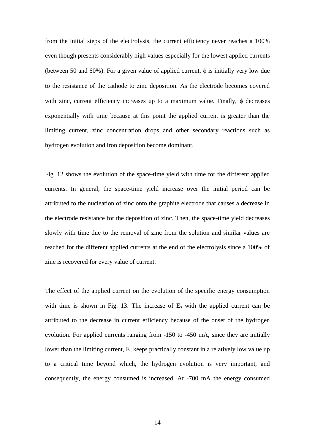from the initial steps of the electrolysis, the current efficiency never reaches a 100% even though presents considerably high values especially for the lowest applied currents (between 50 and 60%). For a given value of applied current,  $\phi$  is initially very low due to the resistance of the cathode to zinc deposition. As the electrode becomes covered with zinc, current efficiency increases up to a maximum value. Finally,  $\phi$  decreases exponentially with time because at this point the applied current is greater than the limiting current, zinc concentration drops and other secondary reactions such as hydrogen evolution and iron deposition become dominant.

Fig. 12 shows the evolution of the space-time yield with time for the different applied currents. In general, the space-time yield increase over the initial period can be attributed to the nucleation of zinc onto the graphite electrode that causes a decrease in the electrode resistance for the deposition of zinc. Then, the space-time yield decreases slowly with time due to the removal of zinc from the solution and similar values are reached for the different applied currents at the end of the electrolysis since a 100% of zinc is recovered for every value of current.

The effect of the applied current on the evolution of the specific energy consumption with time is shown in Fig. 13. The increase of  $E_s$  with the applied current can be attributed to the decrease in current efficiency because of the onset of the hydrogen evolution. For applied currents ranging from -150 to -450 mA, since they are initially lower than the limiting current, E<sup>s</sup> keeps practically constant in a relatively low value up to a critical time beyond which, the hydrogen evolution is very important, and consequently, the energy consumed is increased. At -700 mA the energy consumed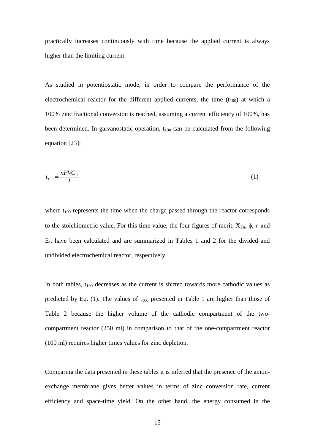practically increases continuously with time because the applied current is always higher than the limiting current.

As studied in potentiostatic mode, in order to compare the performance of the electrochemical reactor for the different applied currents, the time  $(t_{100})$  at which a 100% zinc fractional conversion is reached, assuming a current efficiency of 100%, has been determined. In galvanostatic operation,  $t_{100}$  can be calculated from the following equation [23]:

$$
t_{100} = \frac{nFVC_0}{I} \tag{1}
$$

where  $t_{100}$  represents the time when the charge passed through the reactor corresponds to the stoichiometric value. For this time value, the four figures of merit,  $X_{Zn}$ ,  $\phi$ ,  $\eta$  and Es, have been calculated and are summarized in Tables 1 and 2 for the divided and undivided electrochemical reactor, respectively.

In both tables,  $t_{100}$  decreases as the current is shifted towards more cathodic values as predicted by Eq. (1). The values of  $t_{100}$  presented in Table 1 are higher than those of Table 2 because the higher volume of the cathodic compartment of the twocompartment reactor (250 ml) in comparison to that of the one-compartment reactor (100 ml) requires higher times values for zinc depletion.

Comparing the data presented in these tables it is inferred that the presence of the anionexchange membrane gives better values in terms of zinc conversion rate, current efficiency and space-time yield. On the other hand, the energy consumed in the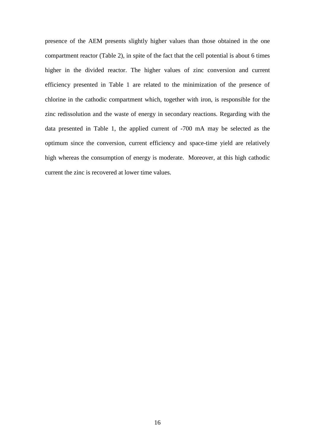presence of the AEM presents slightly higher values than those obtained in the one compartment reactor (Table 2), in spite of the fact that the cell potential is about 6 times higher in the divided reactor. The higher values of zinc conversion and current efficiency presented in Table 1 are related to the minimization of the presence of chlorine in the cathodic compartment which, together with iron, is responsible for the zinc redissolution and the waste of energy in secondary reactions. Regarding with the data presented in Table 1, the applied current of -700 mA may be selected as the optimum since the conversion, current efficiency and space-time yield are relatively high whereas the consumption of energy is moderate. Moreover, at this high cathodic current the zinc is recovered at lower time values.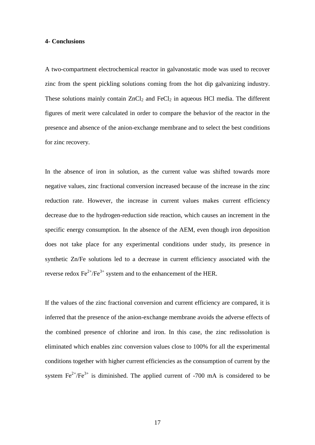#### **4- Conclusions**

A two-compartment electrochemical reactor in galvanostatic mode was used to recover zinc from the spent pickling solutions coming from the hot dip galvanizing industry. These solutions mainly contain  $ZnCl_2$  and  $FeCl_2$  in aqueous HCl media. The different figures of merit were calculated in order to compare the behavior of the reactor in the presence and absence of the anion-exchange membrane and to select the best conditions for zinc recovery.

In the absence of iron in solution, as the current value was shifted towards more negative values, zinc fractional conversion increased because of the increase in the zinc reduction rate. However, the increase in current values makes current efficiency decrease due to the hydrogen-reduction side reaction, which causes an increment in the specific energy consumption. In the absence of the AEM, even though iron deposition does not take place for any experimental conditions under study, its presence in synthetic Zn/Fe solutions led to a decrease in current efficiency associated with the reverse redox  $\text{Fe}^{2+}/\text{Fe}^{3+}$  system and to the enhancement of the HER.

If the values of the zinc fractional conversion and current efficiency are compared, it is inferred that the presence of the anion-exchange membrane avoids the adverse effects of the combined presence of chlorine and iron. In this case, the zinc redissolution is eliminated which enables zinc conversion values close to 100% for all the experimental conditions together with higher current efficiencies as the consumption of current by the system  $\text{Fe}^{2+}/\text{Fe}^{3+}$  is diminished. The applied current of -700 mA is considered to be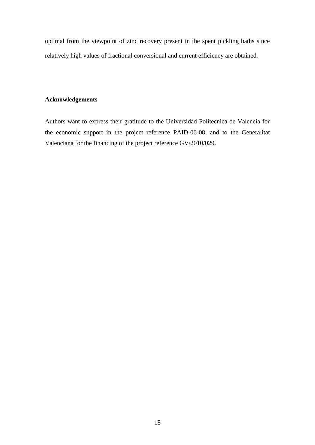optimal from the viewpoint of zinc recovery present in the spent pickling baths since relatively high values of fractional conversional and current efficiency are obtained.

### **Acknowledgements**

Authors want to express their gratitude to the Universidad Politecnica de Valencia for the economic support in the project reference PAID-06-08, and to the Generalitat Valenciana for the financing of the project reference GV/2010/029.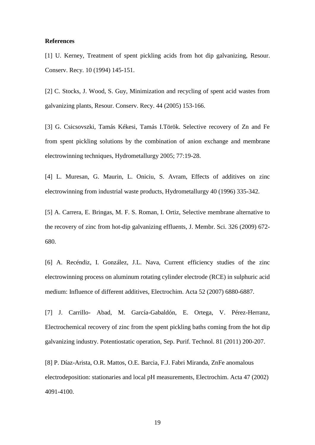#### **References**

[1] U. Kerney, Treatment of spent pickling acids from hot dip galvanizing, Resour. Conserv. Recy. 10 (1994) 145-151.

[2] C. Stocks, J. Wood, S. Guy, Minimization and recycling of spent acid wastes from galvanizing plants, Resour. Conserv. Recy. 44 (2005) 153-166.

[3] G. Csicsovszki, Tamás Kékesi, Tamás I.Török. Selective recovery of Zn and Fe from spent pickling solutions by the combination of anion exchange and membrane electrowinning techniques, Hydrometallurgy 2005; 77:19-28.

[4] L. Muresan, G. Maurin, L. Oniciu, S. Avram, Effects of additives on zinc electrowinning from industrial waste products, Hydrometallurgy 40 (1996) 335-342.

[5] A. Carrera, E. Bringas, M. F. S. Roman, I. Ortiz, Selective membrane alternative to the recovery of zinc from hot-dip galvanizing effluents, J. Membr. Sci. 326 (2009) 672- 680.

[6] A. Recéndiz, I. González, J.L. Nava, Current efficiency studies of the zinc electrowinning process on aluminum rotating cylinder electrode (RCE) in sulphuric acid medium: Influence of different additives, Electrochim. Acta 52 (2007) 6880-6887.

[7] J. Carrillo- Abad, M. García-Gabaldón, E. Ortega, V. Pérez-Herranz, Electrochemical recovery of zinc from the spent pickling baths coming from the hot dip galvanizing industry. Potentiostatic operation, Sep. Purif. Technol. 81 (2011) 200-207.

[8] P. Díaz-Arista, O.R. Mattos, O.E. Barcia, F.J. Fabri Miranda, ZnFe anomalous electrodeposition: stationaries and local pH measurements, Electrochim. Acta 47 (2002) 4091-4100.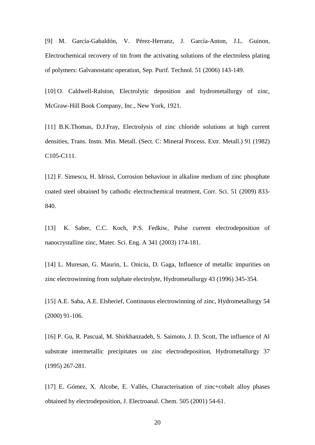[9] M. García-Gabaldón, V. Pérez-Herranz, J. García-Anton, J.L. Guinon, Electrochemical recovery of tin from the activating solutions of the electroless plating of polymers: Galvanostatic operation, Sep. Purif. Technol. 51 (2006) 143-149.

[10] O. Caldwell-Ralston, Electrolytic deposition and hydrometallurgy of zinc, McGraw-Hill Book Company, Inc., New York, 1921.

[11] B.K.Thomas, D.J.Fray, Electrolysis of zinc chloride solutions at high current densities, Trans. Instn. Min. Metall. (Sect. C: Mineral Process. Extr. Metall.) 91 (1982) C105-C111.

[12] F. Simescu, H. Idrissi, Corrosion behaviour in alkaline medium of zinc phosphate coated steel obtained by cathodic electrochemical treatment, Corr. Sci. 51 (2009) 833- 840.

[13] K. Saber, C.C. Koch, P.S. Fedkiw, Pulse current electrodeposition of nanocrystalline zinc, Mater. Sci. Eng. A 341 (2003) 174-181.

[14] L. Muresan, G. Maurin, L. Oniciu, D. Gaga, Influence of metallic impurities on zinc electrowinning from sulphate electrolyte, Hydrometallurgy 43 (1996) 345-354.

[15] A.E. Saba, A.E. Elsherief, Continuous electrowinning of zinc, Hydrometallurgy 54 (2000) 91-106.

[16] P. Gu, R. Pascual, M. Shirkhanzadeh, S. Saimoto, J. D. Scott, The influence of Al substrate intermetallic precipitates on zinc electrodeposition, Hydrometallurgy 37 (1995) 267-281.

[17] E. Gómez, X. Alcobe, E. Vallés, Characterisation of zinc+cobalt alloy phases obtained by electrodeposition, J. Electroanal. Chem. 505 (2001) 54-61.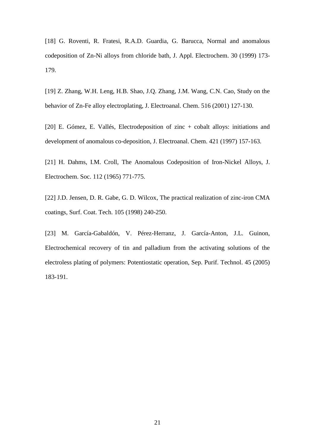[18] G. Roventi, R. Fratesi, R.A.D. Guardia, G. Barucca, Normal and anomalous codeposition of Zn-Ni alloys from chloride bath, J. Appl. Electrochem. 30 (1999) 173- 179.

[19] Z. Zhang, W.H. Leng, H.B. Shao, J.Q. Zhang, J.M. Wang, C.N. Cao, Study on the behavior of Zn-Fe alloy electroplating, J. Electroanal. Chem. 516 (2001) 127-130.

[20] E. Gómez, E. Vallés, Electrodeposition of zinc + cobalt alloys: initiations and development of anomalous co-deposition, J. Electroanal. Chem. 421 (1997) 157-163.

[21] H. Dahms, I.M. Croll, The Anomalous Codeposition of Iron-Nickel Alloys, J. Electrochem. Soc. 112 (1965) 771-775.

[22] J.D. Jensen, D. R. Gabe, G. D. Wilcox, The practical realization of zinc-iron CMA coatings, Surf. Coat. Tech. 105 (1998) 240-250.

[23] M. García-Gabaldón, V. Pérez-Herranz, J. García-Anton, J.L. Guinon, Electrochemical recovery of tin and palladium from the activating solutions of the electroless plating of polymers: Potentiostatic operation, Sep. Purif. Technol. 45 (2005) 183-191.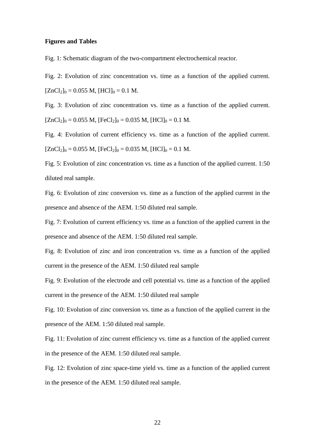#### **Figures and Tables**

Fig. 1: Schematic diagram of the two-compartment electrochemical reactor.

Fig. 2: Evolution of zinc concentration vs. time as a function of the applied current.  $[ZnCl<sub>2</sub>]_{0} = 0.055 M$ ,  $[HCl]_{0} = 0.1 M$ .

Fig. 3: Evolution of zinc concentration vs. time as a function of the applied current.  $[ZnCl<sub>2</sub>]_{0} = 0.055 M$ ,  $[FeCl<sub>2</sub>]_{0} = 0.035 M$ ,  $[HCl]_{0} = 0.1 M$ .

Fig. 4: Evolution of current efficiency vs. time as a function of the applied current.  $[ZnCl<sub>2</sub>]_{0} = 0.055 M$ ,  $[FeCl<sub>2</sub>]_{0} = 0.035 M$ ,  $[HCl]_{0} = 0.1 M$ .

Fig. 5: Evolution of zinc concentration vs. time as a function of the applied current. 1:50 diluted real sample.

Fig. 6: Evolution of zinc conversion vs. time as a function of the applied current in the presence and absence of the AEM. 1:50 diluted real sample.

Fig. 7: Evolution of current efficiency vs. time as a function of the applied current in the presence and absence of the AEM. 1:50 diluted real sample.

Fig. 8: Evolution of zinc and iron concentration vs. time as a function of the applied current in the presence of the AEM. 1:50 diluted real sample

Fig. 9: Evolution of the electrode and cell potential vs. time as a function of the applied current in the presence of the AEM. 1:50 diluted real sample

Fig. 10: Evolution of zinc conversion vs. time as a function of the applied current in the presence of the AEM. 1:50 diluted real sample.

Fig. 11: Evolution of zinc current efficiency vs. time as a function of the applied current in the presence of the AEM. 1:50 diluted real sample.

Fig. 12: Evolution of zinc space-time yield vs. time as a function of the applied current in the presence of the AEM. 1:50 diluted real sample.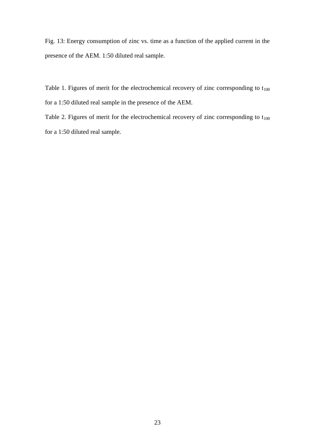Fig. 13: Energy consumption of zinc vs. time as a function of the applied current in the presence of the AEM. 1:50 diluted real sample.

Table 1. Figures of merit for the electrochemical recovery of zinc corresponding to  $t_{100}$ for a 1:50 diluted real sample in the presence of the AEM.

Table 2. Figures of merit for the electrochemical recovery of zinc corresponding to  $t_{100}$ for a 1:50 diluted real sample.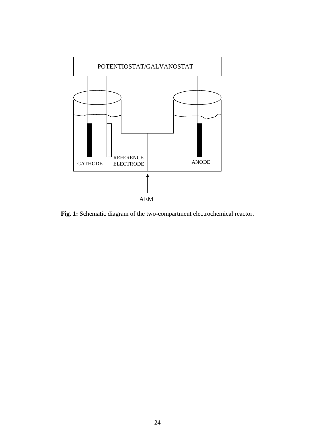

**Fig. 1:** Schematic diagram of the two-compartment electrochemical reactor.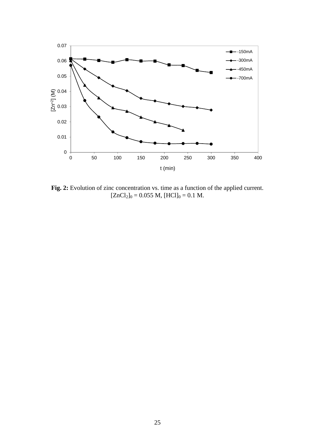

**Fig. 2:** Evolution of zinc concentration vs. time as a function of the applied current.  $[ZnCl<sub>2</sub>]<sub>0</sub> = 0.055 M, [HCl]<sub>0</sub> = 0.1 M.$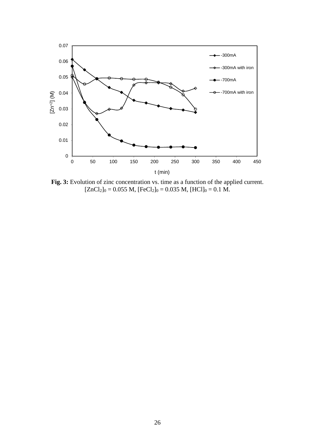

**Fig. 3:** Evolution of zinc concentration vs. time as a function of the applied current.  $[ZnCl<sub>2</sub>]$ <sub>0</sub> = 0.055 M,  $[FeCl<sub>2</sub>]$ <sub>0</sub> = 0.035 M,  $[HC1]$ <sub>0</sub> = 0.1 M.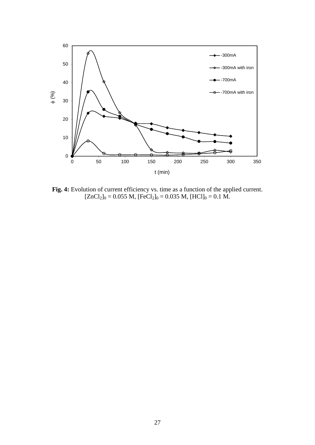

**Fig. 4:** Evolution of current efficiency vs. time as a function of the applied current.  $[ZnCl<sub>2</sub>]$ <sub>0</sub> = 0.055 M,  $[FeCl<sub>2</sub>]$ <sub>0</sub> = 0.035 M,  $[HC1]$ <sub>0</sub> = 0.1 M.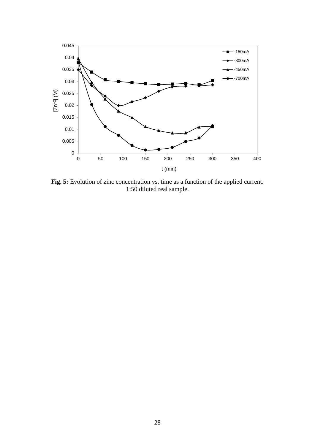

**Fig. 5:** Evolution of zinc concentration vs. time as a function of the applied current. 1:50 diluted real sample.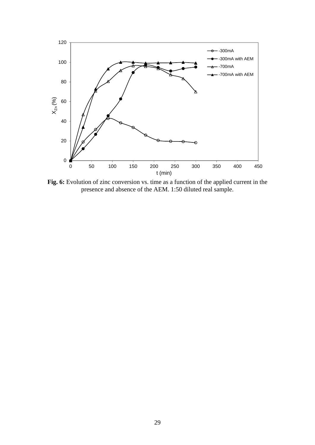

**Fig. 6:** Evolution of zinc conversion vs. time as a function of the applied current in the presence and absence of the AEM. 1:50 diluted real sample.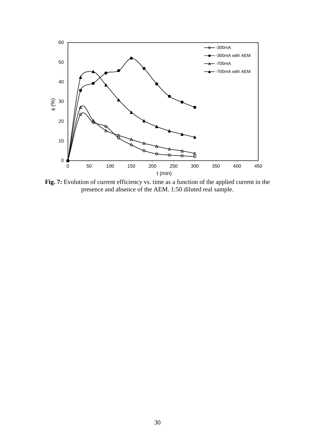

**Fig. 7:** Evolution of current efficiency vs. time as a function of the applied current in the presence and absence of the AEM. 1:50 diluted real sample.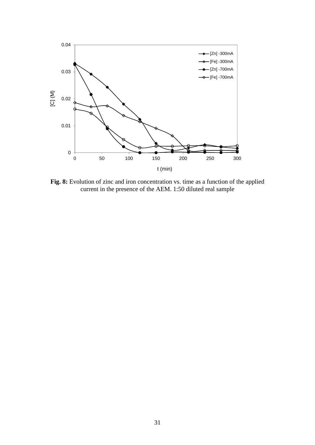

**Fig. 8:** Evolution of zinc and iron concentration vs. time as a function of the applied current in the presence of the AEM. 1:50 diluted real sample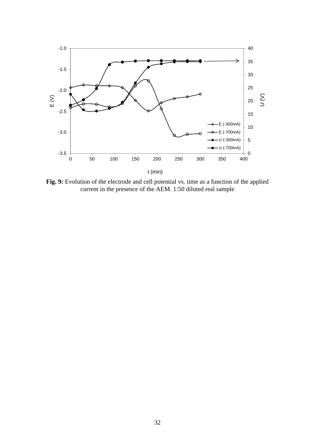

**Fig. 9:** Evolution of the electrode and cell potential vs. time as a function of the applied current in the presence of the AEM. 1:50 diluted real sample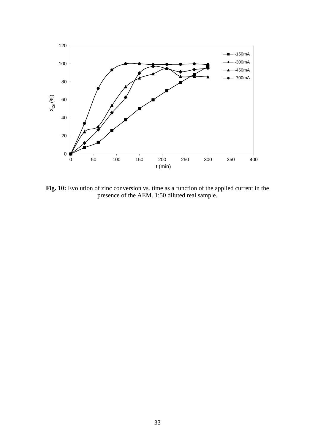

**Fig. 10:** Evolution of zinc conversion vs. time as a function of the applied current in the presence of the AEM. 1:50 diluted real sample.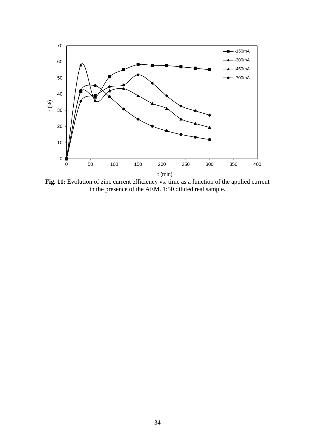

**Fig. 11:** Evolution of zinc current efficiency vs. time as a function of the applied current in the presence of the AEM. 1:50 diluted real sample.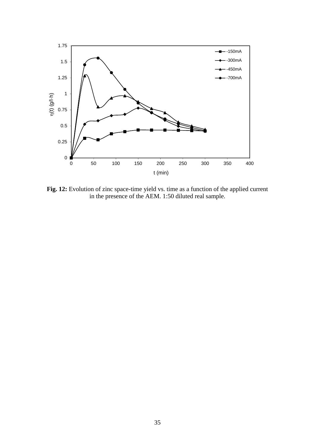

**Fig. 12:** Evolution of zinc space-time yield vs. time as a function of the applied current in the presence of the AEM. 1:50 diluted real sample.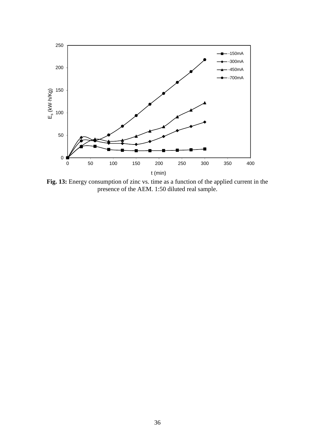

**Fig. 13:** Energy consumption of zinc vs. time as a function of the applied current in the presence of the AEM. 1:50 diluted real sample.